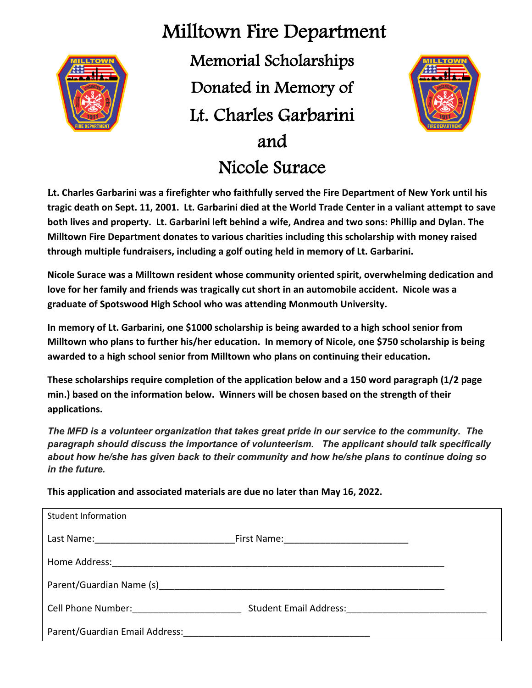

## Milltown Fire Department

Memorial Scholarships Donated in Memory of Lt. Charles Garbarini and Nicole Surace



**Lt. Charles Garbarini was a firefighter who faithfully served the Fire Department of New York until his tragic death on Sept. 11, 2001. Lt. Garbarini died at the World Trade Center in a valiant attempt to save both lives and property. Lt. Garbarini left behind a wife, Andrea and two sons: Phillip and Dylan. The Milltown Fire Department donates to various charities including this scholarship with money raised through multiple fundraisers, including a golf outing held in memory of Lt. Garbarini.** 

**Nicole Surace was a Milltown resident whose community oriented spirit, overwhelming dedication and love for her family and friends was tragically cut short in an automobile accident. Nicole was a graduate of Spotswood High School who was attending Monmouth University.** 

**In memory of Lt. Garbarini, one \$1000 scholarship is being awarded to a high school senior from Milltown who plans to further his/her education. In memory of Nicole, one \$750 scholarship is being awarded to a high school senior from Milltown who plans on continuing their education.** 

**These scholarships require completion of the application below and a 150 word paragraph (1/2 page min.) based on the information below. Winners will be chosen based on the strength of their applications.**

*The MFD is a volunteer organization that takes great pride in our service to the community. The paragraph should discuss the importance of volunteerism. The applicant should talk specifically about how he/she has given back to their community and how he/she plans to continue doing so in the future.* 

**This application and associated materials are due no later than May 16, 2022.**

| <b>Student Information</b>                                                                                                                                                                                                     |                                                                                                                                                                                                                                |  |
|--------------------------------------------------------------------------------------------------------------------------------------------------------------------------------------------------------------------------------|--------------------------------------------------------------------------------------------------------------------------------------------------------------------------------------------------------------------------------|--|
| Last Name: ____________________                                                                                                                                                                                                |                                                                                                                                                                                                                                |  |
| Home Address:                                                                                                                                                                                                                  |                                                                                                                                                                                                                                |  |
| Parent/Guardian Name (s) example a series of the series of the series of the series of the series of the series of the series of the series of the series of the series of the series of the series of the series of the serie |                                                                                                                                                                                                                                |  |
| Cell Phone Number: The Collection of the Collection of the Collection of the Collection of the Collection of the Collection of the Collection of the Collection of the Collection of the Collection of the Collection of the C | Student Email Address: [19] Decision and Address: [19] Decision and Address: [19] Decision and Address and Address and Address and Address and Address and Address and Address and Address and Address and Address and Address |  |
| Parent/Guardian Email Address:                                                                                                                                                                                                 |                                                                                                                                                                                                                                |  |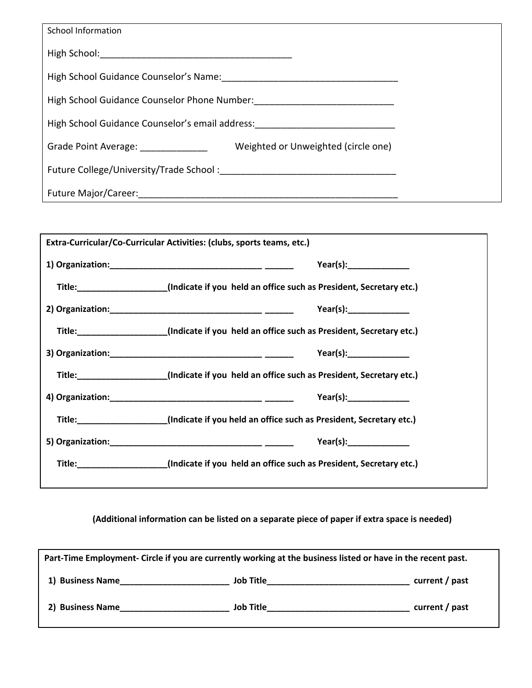| <b>School Information</b>                                                                                                                             |  |
|-------------------------------------------------------------------------------------------------------------------------------------------------------|--|
|                                                                                                                                                       |  |
|                                                                                                                                                       |  |
| High School Guidance Counselor Phone Number: ___________________________________                                                                      |  |
| High School Guidance Counselor's email address:                                                                                                       |  |
| Weighted or Unweighted (circle one)<br>Grade Point Average: The Contract of the Contract of the Contract of the Contract of the Contract of the Contr |  |
| Future College/University/Trade School: National College School                                                                                       |  |
| Future Major/Career: National Assembly of the Major Annual Assembly                                                                                   |  |

| Extra-Curricular/Co-Curricular Activities: (clubs, sports teams, etc.) |                                                                                                 |  |  |
|------------------------------------------------------------------------|-------------------------------------------------------------------------------------------------|--|--|
|                                                                        | Year(s):                                                                                        |  |  |
|                                                                        | Title:______________________(Indicate if you held an office such as President, Secretary etc.)  |  |  |
|                                                                        | Year(s):                                                                                        |  |  |
|                                                                        | Title: ______________________(Indicate if you held an office such as President, Secretary etc.) |  |  |
|                                                                        | Year(s):                                                                                        |  |  |
|                                                                        | Title: ______________________(Indicate if you held an office such as President, Secretary etc.) |  |  |
|                                                                        | Year(s):                                                                                        |  |  |
|                                                                        | Title: _____________________(Indicate if you held an office such as President, Secretary etc.)  |  |  |
|                                                                        | Year(s):                                                                                        |  |  |
|                                                                        | Title:______________________(Indicate if you held an office such as President, Secretary etc.)  |  |  |
|                                                                        |                                                                                                 |  |  |

**(Additional information can be listed on a separate piece of paper if extra space is needed)**

| Part-Time Employment- Circle if you are currently working at the business listed or have in the recent past. |           |                |  |
|--------------------------------------------------------------------------------------------------------------|-----------|----------------|--|
| 1) Business Name                                                                                             | Job Title | current / past |  |
| 2) Business Name                                                                                             | Job Title | current / past |  |